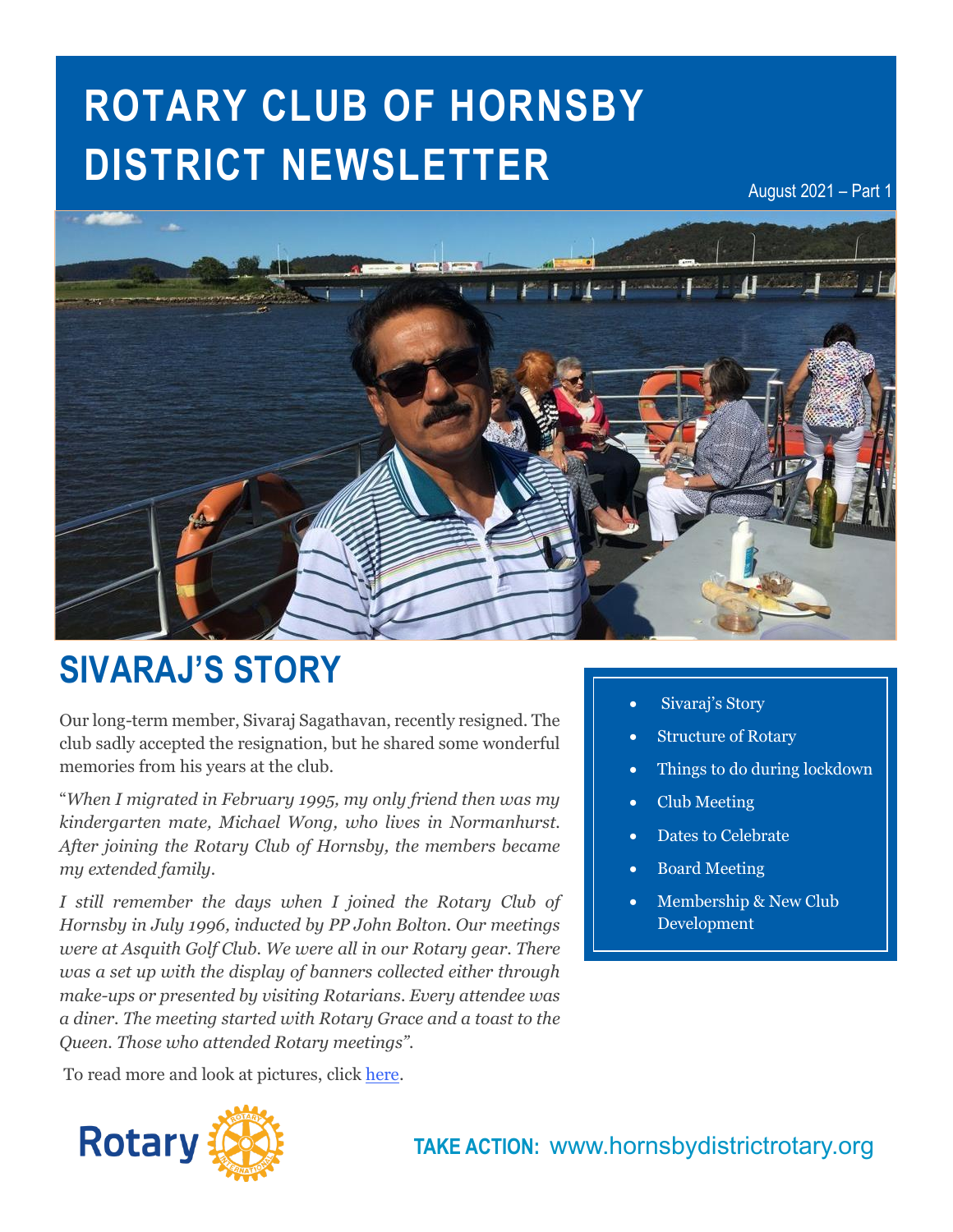# **ROTARY CLUB OF HORNSBY DISTRICT NEWSLETTER**

August 2021 – Part 1



## **SIVARAJ'S STORY**

Our long-term member, Sivaraj Sagathavan, recently resigned. The club sadly accepted the resignation, but he shared some wonderful memories from his years at the club.

"*When I migrated in February 1995, my only friend then was my kindergarten mate, Michael Wong, who lives in Normanhurst. After joining the Rotary Club of Hornsby, the members became my extended family.*

*I still remember the days when I joined the Rotary Club of Hornsby in July 1996, inducted by PP John Bolton. Our meetings were at Asquith Golf Club. We were all in our Rotary gear. There was a set up with the display of banners collected either through make-ups or presented by visiting Rotarians. Every attendee was a diner. The meeting started with Rotary Grace and a toast to the Queen. Those who attended Rotary meetings".*

To read more and look at pictures, click [here.](https://hornsbydistrictrotary.org/index.php/component/content/article/24-monthly-bulletin/members-stories/19-sivaraj-s-story?Itemid=101)



- **Structure of Rotary**
- Things to do during lockdown
- Club Meeting
- Dates to Celebrate
- Board Meeting
- Membership & New Club Development

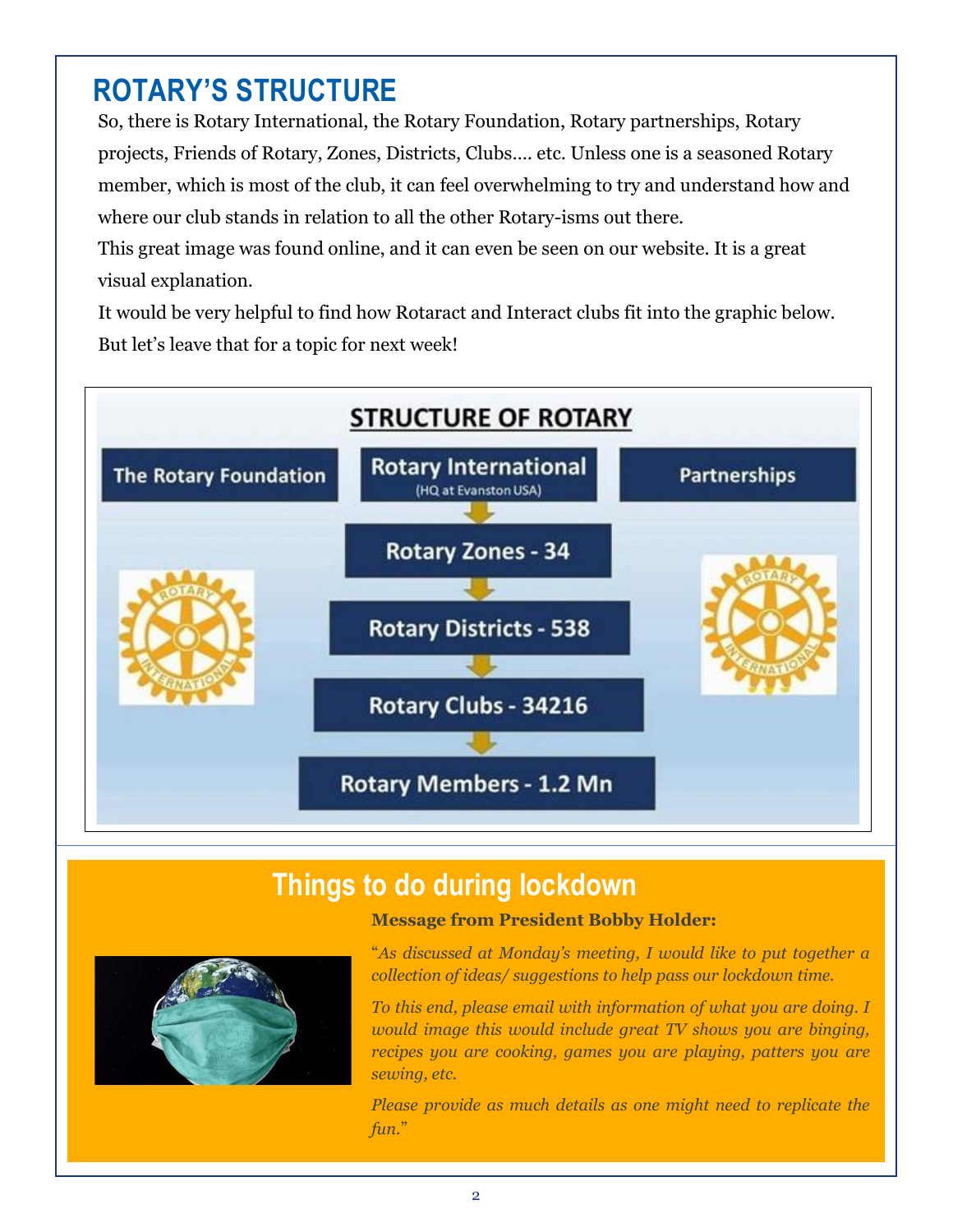### **ROTARY'S STRUCTURE**

So, there is Rotary International, the Rotary Foundation, Rotary partnerships, Rotary projects, Friends of Rotary, Zones, Districts, Clubs…. etc. Unless one is a seasoned Rotary member, which is most of the club, it can feel overwhelming to try and understand how and where our club stands in relation to all the other Rotary-isms out there.

This great image was found online, and it can even be seen on our website. It is a great visual explanation.

It would be very helpful to find how Rotaract and Interact clubs fit into the graphic below. But let's leave that for a topic for next week!



#### **Things to do during lockdown**

**Message from President Bobby Holder:**

"*As discussed at Monday's meeting, I would like to put together a collection of ideas/ suggestions to help pass our lockdown time.*

*To this end, please email with information of what you are doing. I would image this would include great TV shows you are binging, recipes you are cooking, games you are playing, patters you are sewing, etc.*

*Please provide as much details as one might need to replicate the fun*."